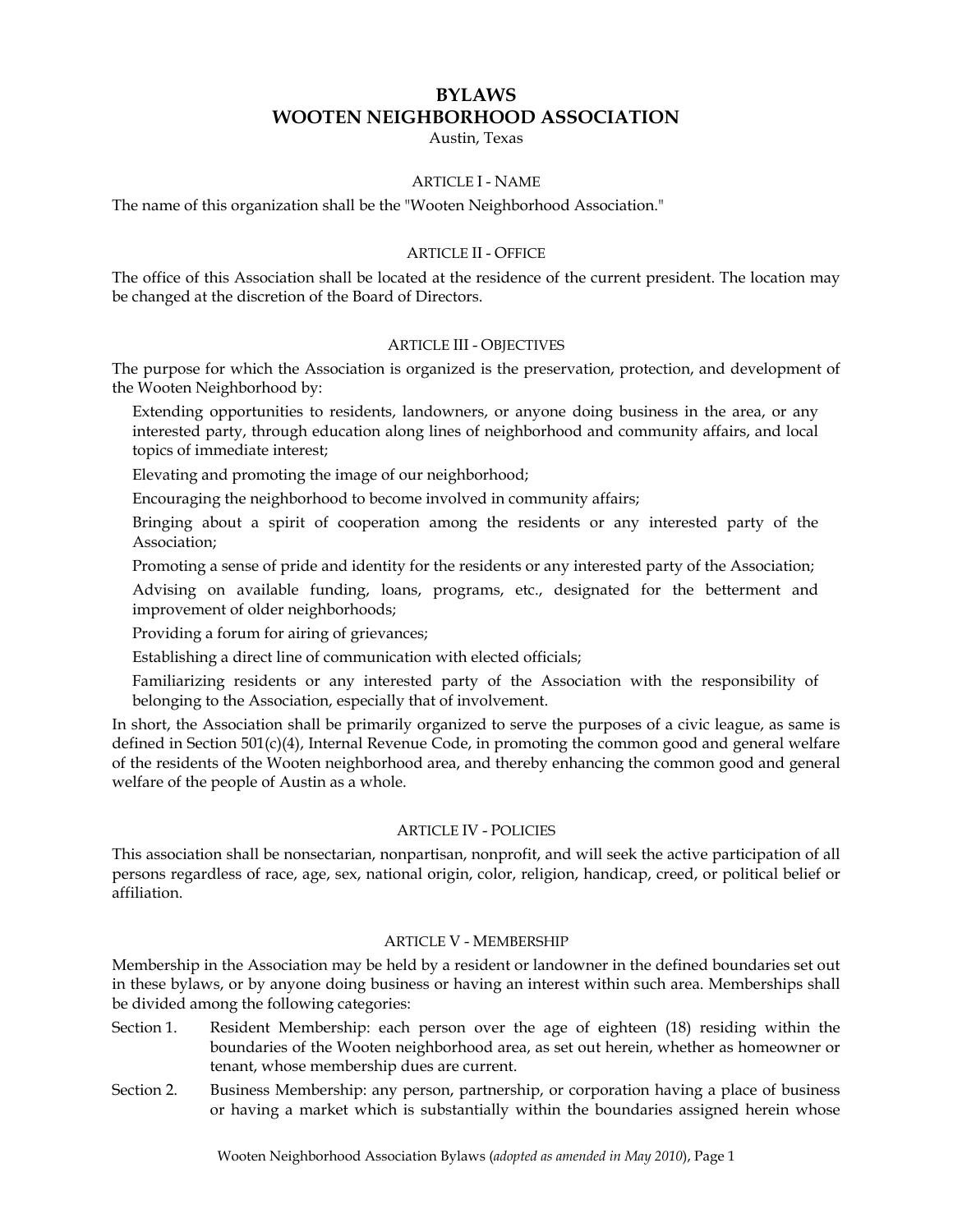# **BYLAWS WOOTEN NEIGHBORHOOD ASSOCIATION**

Austin, Texas

## ARTICLE I - NAME

The name of this organization shall be the "Wooten Neighborhood Association."

### ARTICLE II - OFFICE

The office of this Association shall be located at the residence of the current president. The location may be changed at the discretion of the Board of Directors.

#### ARTICLE III - OBJECTIVES

The purpose for which the Association is organized is the preservation, protection, and development of the Wooten Neighborhood by:

Extending opportunities to residents, landowners, or anyone doing business in the area, or any interested party, through education along lines of neighborhood and community affairs, and local topics of immediate interest;

Elevating and promoting the image of our neighborhood;

Encouraging the neighborhood to become involved in community affairs;

Bringing about a spirit of cooperation among the residents or any interested party of the Association;

Promoting a sense of pride and identity for the residents or any interested party of the Association;

Advising on available funding, loans, programs, etc., designated for the betterment and improvement of older neighborhoods;

Providing a forum for airing of grievances;

Establishing a direct line of communication with elected officials;

Familiarizing residents or any interested party of the Association with the responsibility of belonging to the Association, especially that of involvement.

In short, the Association shall be primarily organized to serve the purposes of a civic league, as same is defined in Section 501(c)(4), Internal Revenue Code, in promoting the common good and general welfare of the residents of the Wooten neighborhood area, and thereby enhancing the common good and general welfare of the people of Austin as a whole.

### ARTICLE IV - POLICIES

This association shall be nonsectarian, nonpartisan, nonprofit, and will seek the active participation of all persons regardless of race, age, sex, national origin, color, religion, handicap, creed, or political belief or affiliation.

## ARTICLE V - MEMBERSHIP

Membership in the Association may be held by a resident or landowner in the defined boundaries set out in these bylaws, or by anyone doing business or having an interest within such area. Memberships shall be divided among the following categories:

- Section 1. Resident Membership: each person over the age of eighteen (18) residing within the boundaries of the Wooten neighborhood area, as set out herein, whether as homeowner or tenant, whose membership dues are current.
- Section 2. Business Membership: any person, partnership, or corporation having a place of business or having a market which is substantially within the boundaries assigned herein whose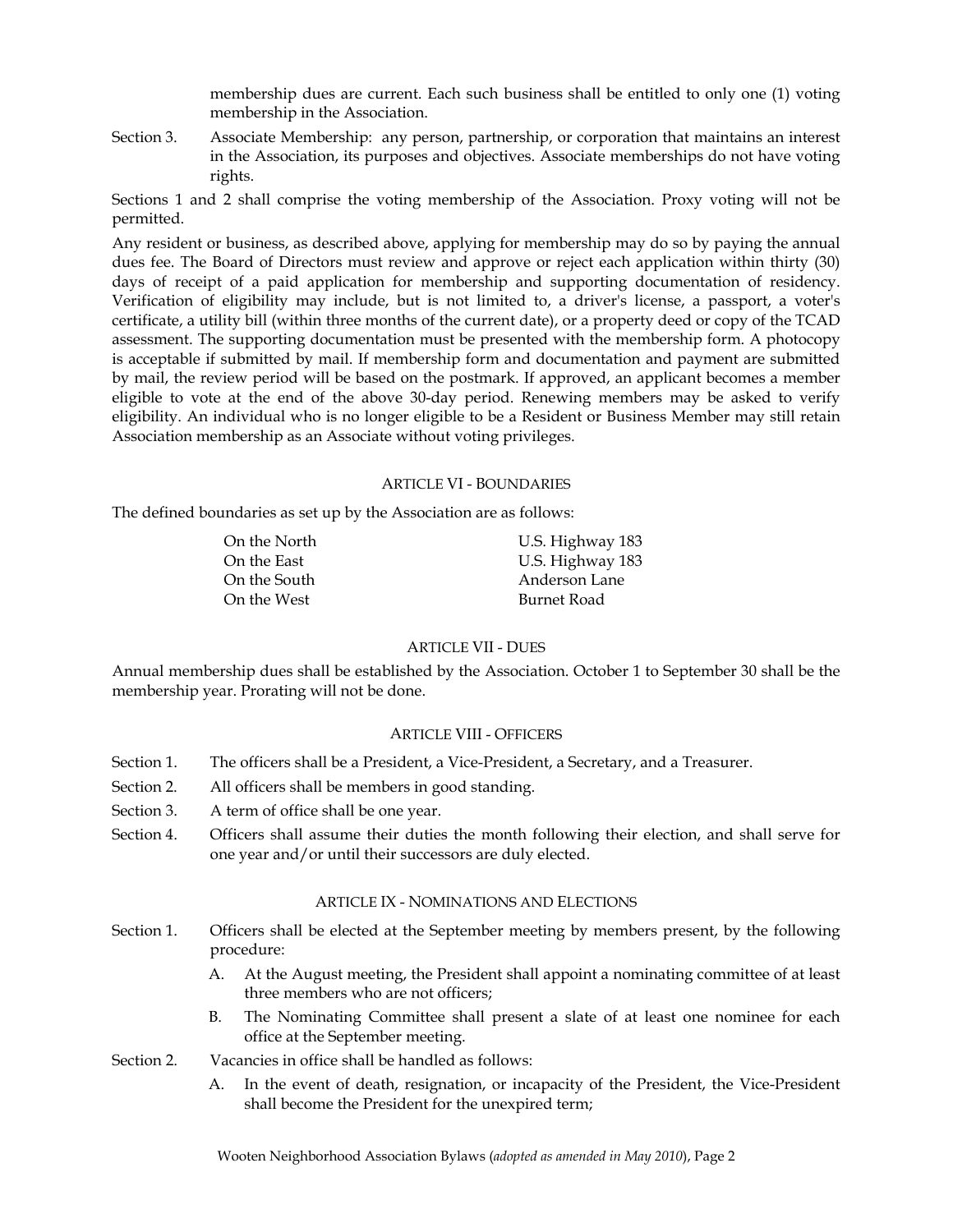membership dues are current. Each such business shall be entitled to only one (1) voting membership in the Association.

Section 3. Associate Membership: any person, partnership, or corporation that maintains an interest in the Association, its purposes and objectives. Associate memberships do not have voting rights.

Sections 1 and 2 shall comprise the voting membership of the Association. Proxy voting will not be permitted.

Any resident or business, as described above, applying for membership may do so by paying the annual dues fee. The Board of Directors must review and approve or reject each application within thirty (30) days of receipt of a paid application for membership and supporting documentation of residency. Verification of eligibility may include, but is not limited to, a driver's license, a passport, a voter's certificate, a utility bill (within three months of the current date), or a property deed or copy of the TCAD assessment. The supporting documentation must be presented with the membership form. A photocopy is acceptable if submitted by mail. If membership form and documentation and payment are submitted by mail, the review period will be based on the postmark. If approved, an applicant becomes a member eligible to vote at the end of the above 30-day period. Renewing members may be asked to verify eligibility. An individual who is no longer eligible to be a Resident or Business Member may still retain Association membership as an Associate without voting privileges.

### ARTICLE VI - BOUNDARIES

The defined boundaries as set up by the Association are as follows:

| On the North | U.S. Highway 183 |
|--------------|------------------|
| On the East  | U.S. Highway 183 |
| On the South | Anderson Lane    |
| On the West  | Burnet Road      |

### ARTICLE VII - DUES

Annual membership dues shall be established by the Association. October 1 to September 30 shall be the membership year. Prorating will not be done.

#### ARTICLE VIII - OFFICERS

- Section 1. The officers shall be a President, a Vice-President, a Secretary, and a Treasurer.
- Section 2. All officers shall be members in good standing.
- Section 3. A term of office shall be one year.
- Section 4. Officers shall assume their duties the month following their election, and shall serve for one year and/or until their successors are duly elected.

#### ARTICLE IX - NOMINATIONS AND ELECTIONS

- Section 1. Officers shall be elected at the September meeting by members present, by the following procedure:
	- A. At the August meeting, the President shall appoint a nominating committee of at least three members who are not officers;
	- B. The Nominating Committee shall present a slate of at least one nominee for each office at the September meeting.
- Section 2. Vacancies in office shall be handled as follows:
	- A. In the event of death, resignation, or incapacity of the President, the Vice-President shall become the President for the unexpired term;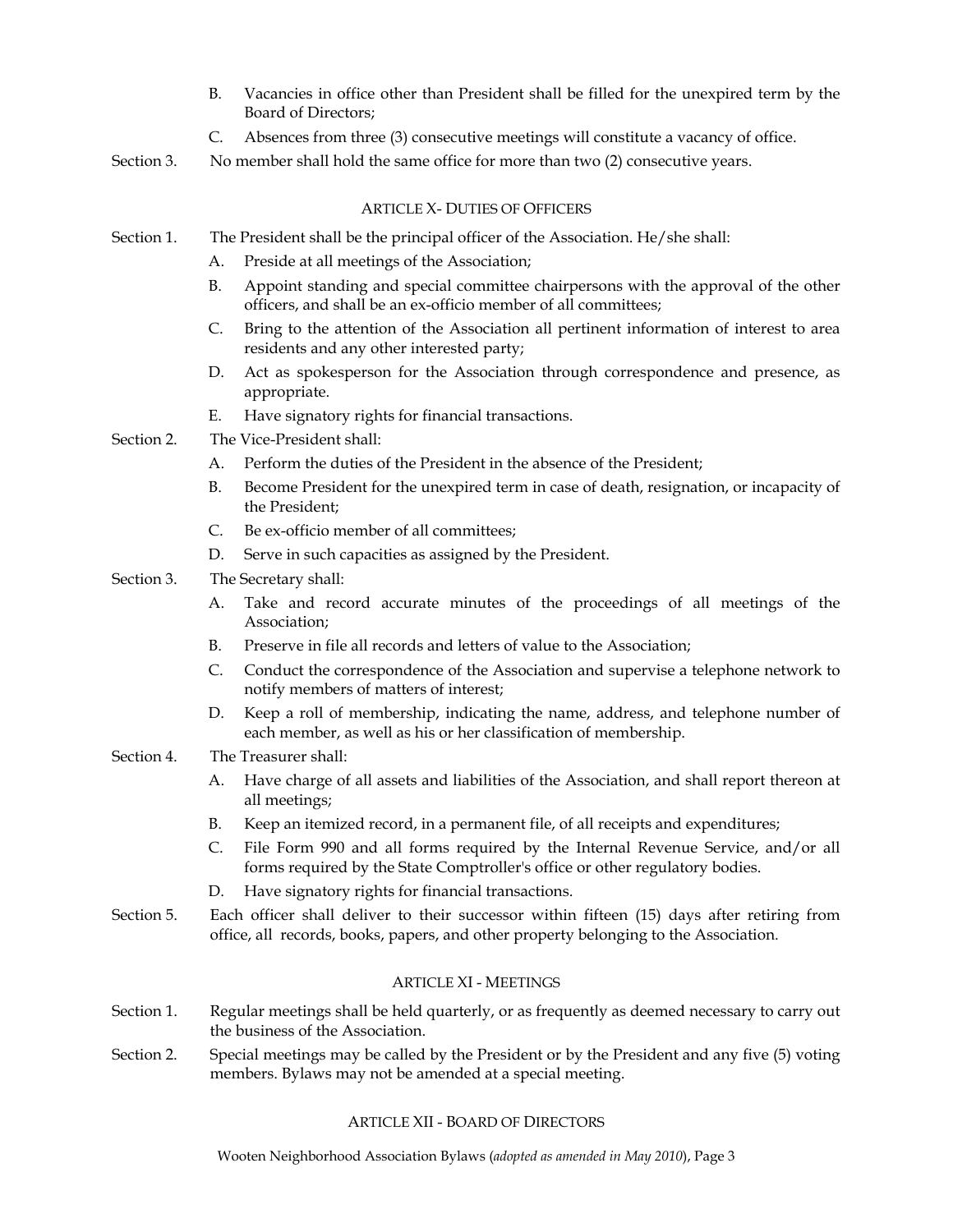- B. Vacancies in office other than President shall be filled for the unexpired term by the Board of Directors;
- C. Absences from three (3) consecutive meetings will constitute a vacancy of office.
- Section 3. No member shall hold the same office for more than two (2) consecutive years.

# ARTICLE X- DUTIES OF OFFICERS

- Section 1. The President shall be the principal officer of the Association. He/she shall:
	- A. Preside at all meetings of the Association;
	- B. Appoint standing and special committee chairpersons with the approval of the other officers, and shall be an ex-officio member of all committees;
	- C. Bring to the attention of the Association all pertinent information of interest to area residents and any other interested party;
	- D. Act as spokesperson for the Association through correspondence and presence, as appropriate.
	- E. Have signatory rights for financial transactions.
- Section 2. The Vice-President shall:
	- A. Perform the duties of the President in the absence of the President;
	- B. Become President for the unexpired term in case of death, resignation, or incapacity of the President;
	- C. Be ex-officio member of all committees;
	- D. Serve in such capacities as assigned by the President.
- Section 3. The Secretary shall:
	- A. Take and record accurate minutes of the proceedings of all meetings of the Association;
	- B. Preserve in file all records and letters of value to the Association;
	- C. Conduct the correspondence of the Association and supervise a telephone network to notify members of matters of interest;
	- D. Keep a roll of membership, indicating the name, address, and telephone number of each member, as well as his or her classification of membership.

# Section 4. The Treasurer shall:

- A. Have charge of all assets and liabilities of the Association, and shall report thereon at all meetings;
- B. Keep an itemized record, in a permanent file, of all receipts and expenditures;
- C. File Form 990 and all forms required by the Internal Revenue Service, and/or all forms required by the State Comptroller's office or other regulatory bodies.
- D. Have signatory rights for financial transactions.
- Section 5. Each officer shall deliver to their successor within fifteen (15) days after retiring from office, all records, books, papers, and other property belonging to the Association.

# ARTICLE XI - MEETINGS

- Section 1. Regular meetings shall be held quarterly, or as frequently as deemed necessary to carry out the business of the Association.
- Section 2. Special meetings may be called by the President or by the President and any five (5) voting members. Bylaws may not be amended at a special meeting.

# ARTICLE XII - BOARD OF DIRECTORS